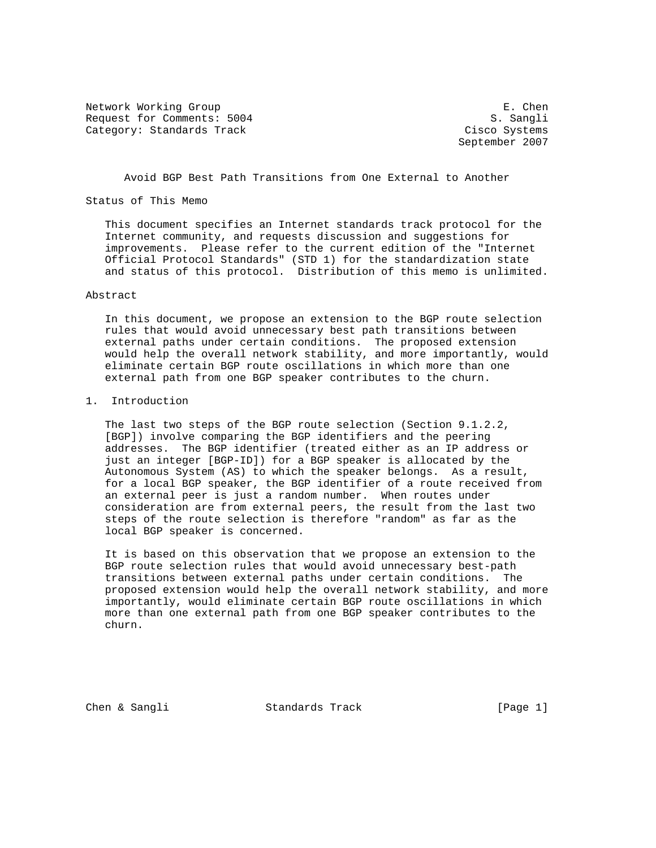Network Working Group extends the set of the set of the set of the set of the set of the set of the set of the set of the set of the set of the set of the set of the set of the set of the set of the set of the set of the s Request for Comments: 5004 S. Sangli Category: Standards Track Cisco Systems

September 2007

Avoid BGP Best Path Transitions from One External to Another

## Status of This Memo

 This document specifies an Internet standards track protocol for the Internet community, and requests discussion and suggestions for improvements. Please refer to the current edition of the "Internet Official Protocol Standards" (STD 1) for the standardization state and status of this protocol. Distribution of this memo is unlimited.

# Abstract

 In this document, we propose an extension to the BGP route selection rules that would avoid unnecessary best path transitions between external paths under certain conditions. The proposed extension would help the overall network stability, and more importantly, would eliminate certain BGP route oscillations in which more than one external path from one BGP speaker contributes to the churn.

#### 1. Introduction

 The last two steps of the BGP route selection (Section 9.1.2.2, [BGP]) involve comparing the BGP identifiers and the peering addresses. The BGP identifier (treated either as an IP address or just an integer [BGP-ID]) for a BGP speaker is allocated by the Autonomous System (AS) to which the speaker belongs. As a result, for a local BGP speaker, the BGP identifier of a route received from an external peer is just a random number. When routes under consideration are from external peers, the result from the last two steps of the route selection is therefore "random" as far as the local BGP speaker is concerned.

 It is based on this observation that we propose an extension to the BGP route selection rules that would avoid unnecessary best-path transitions between external paths under certain conditions. The proposed extension would help the overall network stability, and more importantly, would eliminate certain BGP route oscillations in which more than one external path from one BGP speaker contributes to the churn.

Chen & Sangli Standards Track [Page 1]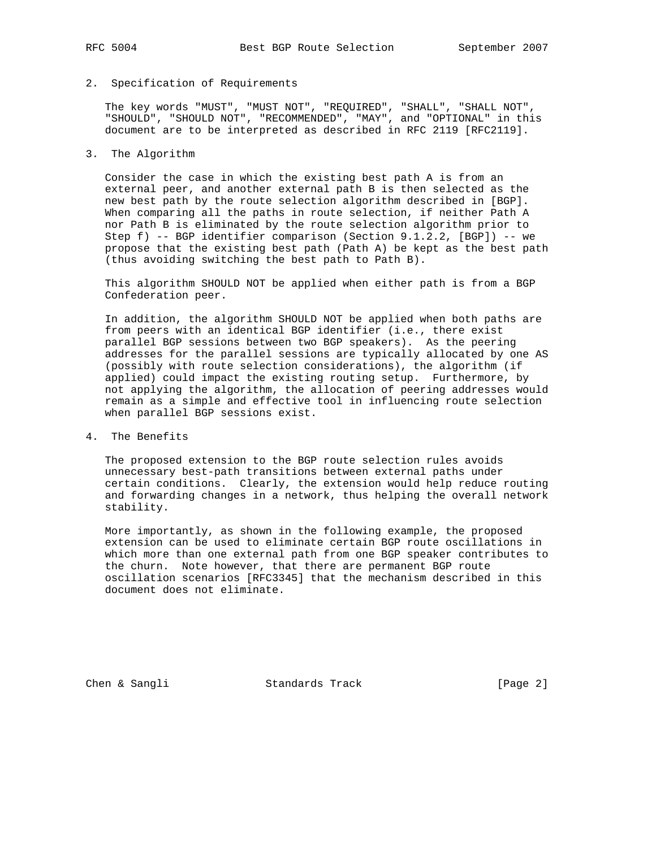## 2. Specification of Requirements

 The key words "MUST", "MUST NOT", "REQUIRED", "SHALL", "SHALL NOT", "SHOULD", "SHOULD NOT", "RECOMMENDED", "MAY", and "OPTIONAL" in this document are to be interpreted as described in RFC 2119 [RFC2119].

# 3. The Algorithm

 Consider the case in which the existing best path A is from an external peer, and another external path B is then selected as the new best path by the route selection algorithm described in [BGP]. When comparing all the paths in route selection, if neither Path A nor Path B is eliminated by the route selection algorithm prior to Step f) -- BGP identifier comparison (Section 9.1.2.2, [BGP]) -- we propose that the existing best path (Path A) be kept as the best path (thus avoiding switching the best path to Path B).

 This algorithm SHOULD NOT be applied when either path is from a BGP Confederation peer.

 In addition, the algorithm SHOULD NOT be applied when both paths are from peers with an identical BGP identifier (i.e., there exist parallel BGP sessions between two BGP speakers). As the peering addresses for the parallel sessions are typically allocated by one AS (possibly with route selection considerations), the algorithm (if applied) could impact the existing routing setup. Furthermore, by not applying the algorithm, the allocation of peering addresses would remain as a simple and effective tool in influencing route selection when parallel BGP sessions exist.

4. The Benefits

 The proposed extension to the BGP route selection rules avoids unnecessary best-path transitions between external paths under certain conditions. Clearly, the extension would help reduce routing and forwarding changes in a network, thus helping the overall network stability.

 More importantly, as shown in the following example, the proposed extension can be used to eliminate certain BGP route oscillations in which more than one external path from one BGP speaker contributes to the churn. Note however, that there are permanent BGP route oscillation scenarios [RFC3345] that the mechanism described in this document does not eliminate.

Chen & Sangli Standards Track [Page 2]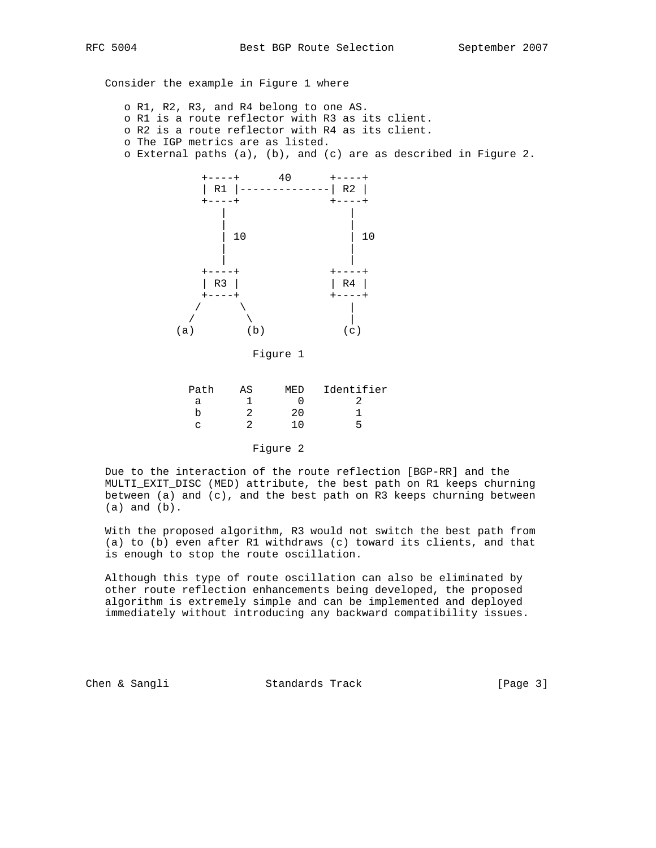Consider the example in Figure 1 where

 o R1, R2, R3, and R4 belong to one AS. o R1 is a route reflector with R3 as its client. o R2 is a route reflector with R4 as its client. o The IGP metrics are as listed. o External paths (a), (b), and (c) are as described in Figure 2.



Figure 1

| Identifier<br>MF.D |
|--------------------|
|                    |
| 2.0                |
| 1 በ<br>∽           |
|                    |

Figure 2

 Due to the interaction of the route reflection [BGP-RR] and the MULTI\_EXIT\_DISC (MED) attribute, the best path on R1 keeps churning between (a) and (c), and the best path on R3 keeps churning between (a) and (b).

 With the proposed algorithm, R3 would not switch the best path from (a) to (b) even after R1 withdraws (c) toward its clients, and that is enough to stop the route oscillation.

 Although this type of route oscillation can also be eliminated by other route reflection enhancements being developed, the proposed algorithm is extremely simple and can be implemented and deployed immediately without introducing any backward compatibility issues.

Chen & Sangli Standards Track [Page 3]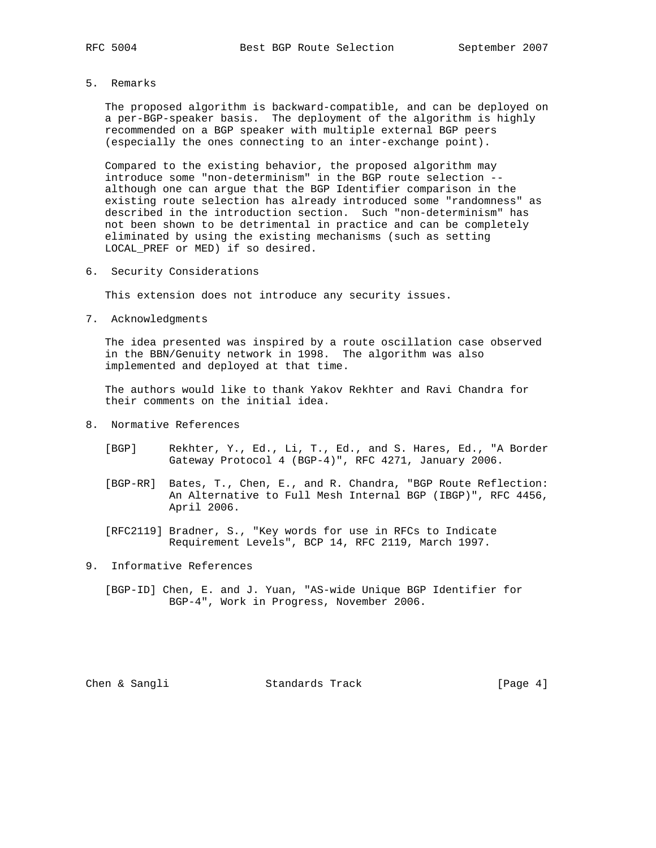5. Remarks

 The proposed algorithm is backward-compatible, and can be deployed on a per-BGP-speaker basis. The deployment of the algorithm is highly recommended on a BGP speaker with multiple external BGP peers (especially the ones connecting to an inter-exchange point).

 Compared to the existing behavior, the proposed algorithm may introduce some "non-determinism" in the BGP route selection - although one can argue that the BGP Identifier comparison in the existing route selection has already introduced some "randomness" as described in the introduction section. Such "non-determinism" has not been shown to be detrimental in practice and can be completely eliminated by using the existing mechanisms (such as setting LOCAL\_PREF or MED) if so desired.

6. Security Considerations

This extension does not introduce any security issues.

7. Acknowledgments

 The idea presented was inspired by a route oscillation case observed in the BBN/Genuity network in 1998. The algorithm was also implemented and deployed at that time.

 The authors would like to thank Yakov Rekhter and Ravi Chandra for their comments on the initial idea.

- 8. Normative References
	- [BGP] Rekhter, Y., Ed., Li, T., Ed., and S. Hares, Ed., "A Border Gateway Protocol 4 (BGP-4)", RFC 4271, January 2006.
	- [BGP-RR] Bates, T., Chen, E., and R. Chandra, "BGP Route Reflection: An Alternative to Full Mesh Internal BGP (IBGP)", RFC 4456, April 2006.
	- [RFC2119] Bradner, S., "Key words for use in RFCs to Indicate Requirement Levels", BCP 14, RFC 2119, March 1997.
- 9. Informative References
	- [BGP-ID] Chen, E. and J. Yuan, "AS-wide Unique BGP Identifier for BGP-4", Work in Progress, November 2006.

Chen & Sangli Standards Track [Page 4]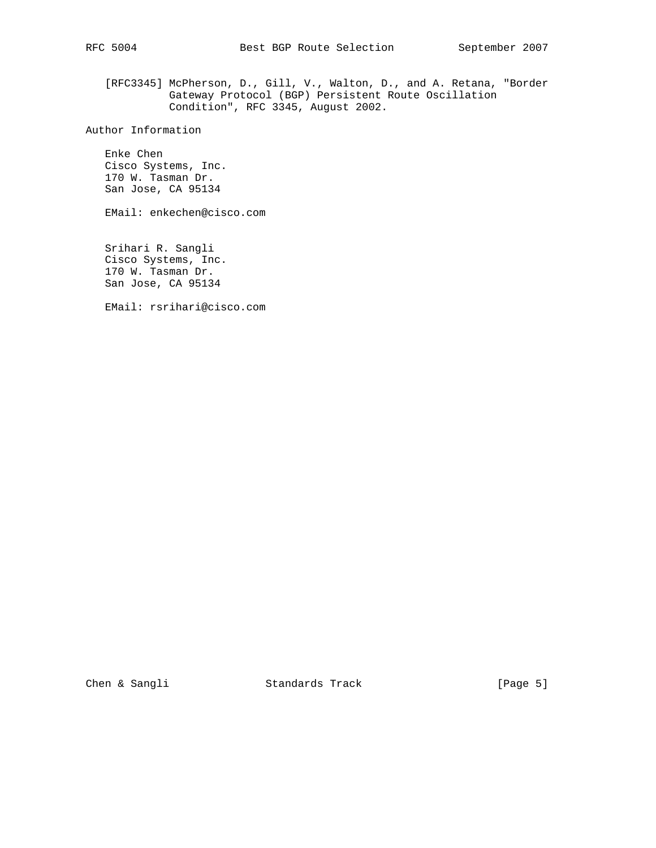[RFC3345] McPherson, D., Gill, V., Walton, D., and A. Retana, "Border Gateway Protocol (BGP) Persistent Route Oscillation Condition", RFC 3345, August 2002.

Author Information

 Enke Chen Cisco Systems, Inc. 170 W. Tasman Dr. San Jose, CA 95134

EMail: enkechen@cisco.com

 Srihari R. Sangli Cisco Systems, Inc. 170 W. Tasman Dr. San Jose, CA 95134

EMail: rsrihari@cisco.com

Chen & Sangli Standards Track [Page 5]